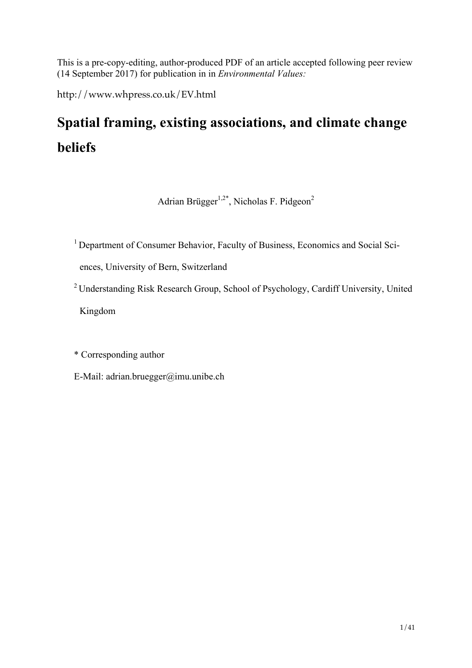This is a pre-copy-editing, author-produced PDF of an article accepted following peer review (14 September 2017) for publication in in *Environmental Values:*

http://www.whpress.co.uk/EV.html

# **Spatial framing, existing associations, and climate change beliefs**

Adrian Brügger<sup>1,2\*</sup>, Nicholas F. Pidgeon<sup>2</sup>

<sup>1</sup> Department of Consumer Behavior, Faculty of Business, Economics and Social Sci-

ences, University of Bern, Switzerland

2 Understanding Risk Research Group, School of Psychology, Cardiff University, United Kingdom

\* Corresponding author

E-Mail: adrian.bruegger@imu.unibe.ch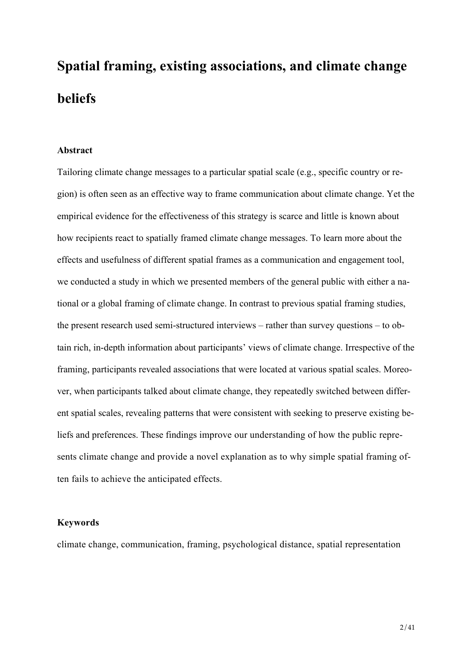# **Spatial framing, existing associations, and climate change beliefs**

### **Abstract**

Tailoring climate change messages to a particular spatial scale (e.g., specific country or region) is often seen as an effective way to frame communication about climate change. Yet the empirical evidence for the effectiveness of this strategy is scarce and little is known about how recipients react to spatially framed climate change messages. To learn more about the effects and usefulness of different spatial frames as a communication and engagement tool, we conducted a study in which we presented members of the general public with either a national or a global framing of climate change. In contrast to previous spatial framing studies, the present research used semi-structured interviews – rather than survey questions – to obtain rich, in-depth information about participants' views of climate change. Irrespective of the framing, participants revealed associations that were located at various spatial scales. Moreover, when participants talked about climate change, they repeatedly switched between different spatial scales, revealing patterns that were consistent with seeking to preserve existing beliefs and preferences. These findings improve our understanding of how the public represents climate change and provide a novel explanation as to why simple spatial framing often fails to achieve the anticipated effects.

#### **Keywords**

climate change, communication, framing, psychological distance, spatial representation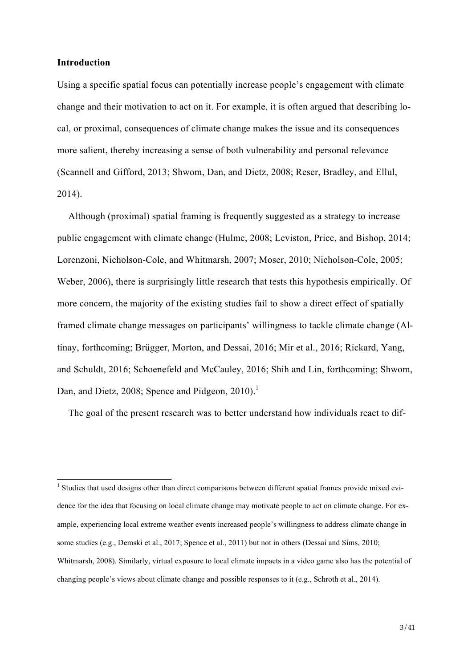#### **Introduction**

Using a specific spatial focus can potentially increase people's engagement with climate change and their motivation to act on it. For example, it is often argued that describing local, or proximal, consequences of climate change makes the issue and its consequences more salient, thereby increasing a sense of both vulnerability and personal relevance (Scannell and Gifford, 2013; Shwom, Dan, and Dietz, 2008; Reser, Bradley, and Ellul, 2014).

Although (proximal) spatial framing is frequently suggested as a strategy to increase public engagement with climate change (Hulme, 2008; Leviston, Price, and Bishop, 2014; Lorenzoni, Nicholson-Cole, and Whitmarsh, 2007; Moser, 2010; Nicholson-Cole, 2005; Weber, 2006), there is surprisingly little research that tests this hypothesis empirically. Of more concern, the majority of the existing studies fail to show a direct effect of spatially framed climate change messages on participants' willingness to tackle climate change (Altinay, forthcoming; Brügger, Morton, and Dessai, 2016; Mir et al., 2016; Rickard, Yang, and Schuldt, 2016; Schoenefeld and McCauley, 2016; Shih and Lin, forthcoming; Shwom, Dan, and Dietz,  $2008$ ; Spence and Pidgeon,  $2010$ .<sup>1</sup>

The goal of the present research was to better understand how individuals react to dif-

<sup>&</sup>lt;sup>1</sup> Studies that used designs other than direct comparisons between different spatial frames provide mixed evidence for the idea that focusing on local climate change may motivate people to act on climate change. For example, experiencing local extreme weather events increased people's willingness to address climate change in some studies (e.g., Demski et al., 2017; Spence et al., 2011) but not in others (Dessai and Sims, 2010; Whitmarsh, 2008). Similarly, virtual exposure to local climate impacts in a video game also has the potential of changing people's views about climate change and possible responses to it (e.g., Schroth et al., 2014).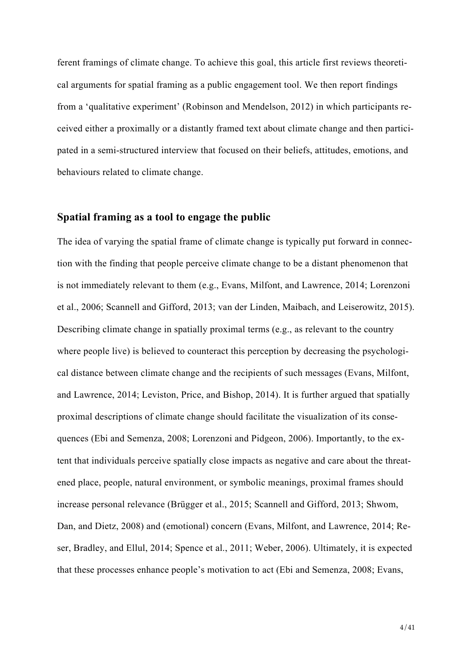ferent framings of climate change. To achieve this goal, this article first reviews theoretical arguments for spatial framing as a public engagement tool. We then report findings from a 'qualitative experiment' (Robinson and Mendelson, 2012) in which participants received either a proximally or a distantly framed text about climate change and then participated in a semi-structured interview that focused on their beliefs, attitudes, emotions, and behaviours related to climate change.

## **Spatial framing as a tool to engage the public**

The idea of varying the spatial frame of climate change is typically put forward in connection with the finding that people perceive climate change to be a distant phenomenon that is not immediately relevant to them (e.g., Evans, Milfont, and Lawrence, 2014; Lorenzoni et al., 2006; Scannell and Gifford, 2013; van der Linden, Maibach, and Leiserowitz, 2015). Describing climate change in spatially proximal terms (e.g., as relevant to the country where people live) is believed to counteract this perception by decreasing the psychological distance between climate change and the recipients of such messages (Evans, Milfont, and Lawrence, 2014; Leviston, Price, and Bishop, 2014). It is further argued that spatially proximal descriptions of climate change should facilitate the visualization of its consequences (Ebi and Semenza, 2008; Lorenzoni and Pidgeon, 2006). Importantly, to the extent that individuals perceive spatially close impacts as negative and care about the threatened place, people, natural environment, or symbolic meanings, proximal frames should increase personal relevance (Brügger et al., 2015; Scannell and Gifford, 2013; Shwom, Dan, and Dietz, 2008) and (emotional) concern (Evans, Milfont, and Lawrence, 2014; Reser, Bradley, and Ellul, 2014; Spence et al., 2011; Weber, 2006). Ultimately, it is expected that these processes enhance people's motivation to act (Ebi and Semenza, 2008; Evans,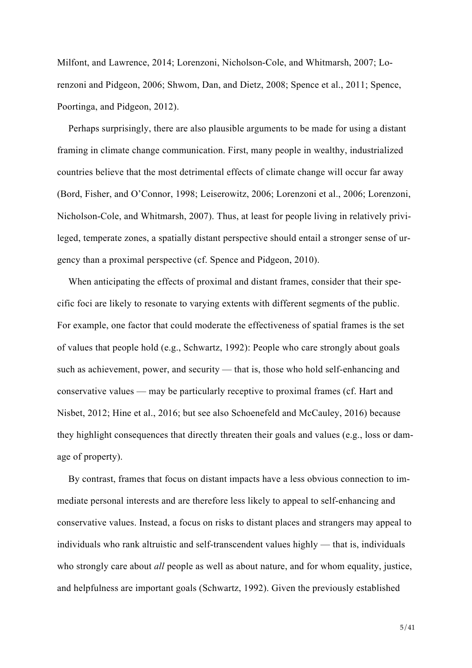Milfont, and Lawrence, 2014; Lorenzoni, Nicholson-Cole, and Whitmarsh, 2007; Lorenzoni and Pidgeon, 2006; Shwom, Dan, and Dietz, 2008; Spence et al., 2011; Spence, Poortinga, and Pidgeon, 2012).

Perhaps surprisingly, there are also plausible arguments to be made for using a distant framing in climate change communication. First, many people in wealthy, industrialized countries believe that the most detrimental effects of climate change will occur far away (Bord, Fisher, and O'Connor, 1998; Leiserowitz, 2006; Lorenzoni et al., 2006; Lorenzoni, Nicholson-Cole, and Whitmarsh, 2007). Thus, at least for people living in relatively privileged, temperate zones, a spatially distant perspective should entail a stronger sense of urgency than a proximal perspective (cf. Spence and Pidgeon, 2010).

When anticipating the effects of proximal and distant frames, consider that their specific foci are likely to resonate to varying extents with different segments of the public. For example, one factor that could moderate the effectiveness of spatial frames is the set of values that people hold (e.g., Schwartz, 1992): People who care strongly about goals such as achievement, power, and security — that is, those who hold self-enhancing and conservative values — may be particularly receptive to proximal frames (cf. Hart and Nisbet, 2012; Hine et al., 2016; but see also Schoenefeld and McCauley, 2016) because they highlight consequences that directly threaten their goals and values (e.g., loss or damage of property).

By contrast, frames that focus on distant impacts have a less obvious connection to immediate personal interests and are therefore less likely to appeal to self-enhancing and conservative values. Instead, a focus on risks to distant places and strangers may appeal to individuals who rank altruistic and self-transcendent values highly — that is, individuals who strongly care about *all* people as well as about nature, and for whom equality, justice, and helpfulness are important goals (Schwartz, 1992). Given the previously established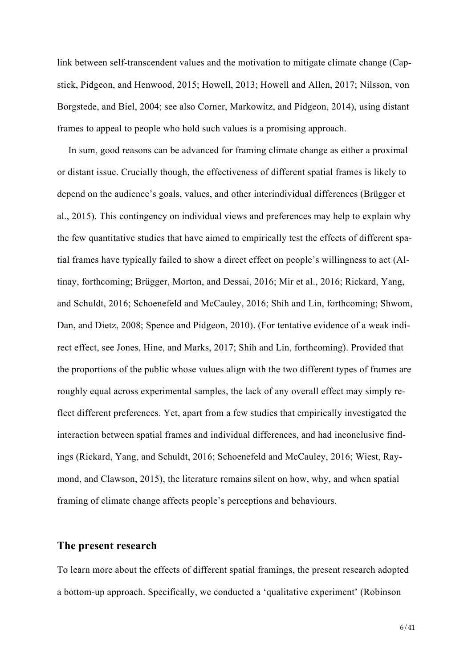link between self-transcendent values and the motivation to mitigate climate change (Capstick, Pidgeon, and Henwood, 2015; Howell, 2013; Howell and Allen, 2017; Nilsson, von Borgstede, and Biel, 2004; see also Corner, Markowitz, and Pidgeon, 2014), using distant frames to appeal to people who hold such values is a promising approach.

In sum, good reasons can be advanced for framing climate change as either a proximal or distant issue. Crucially though, the effectiveness of different spatial frames is likely to depend on the audience's goals, values, and other interindividual differences (Brügger et al., 2015). This contingency on individual views and preferences may help to explain why the few quantitative studies that have aimed to empirically test the effects of different spatial frames have typically failed to show a direct effect on people's willingness to act (Altinay, forthcoming; Brügger, Morton, and Dessai, 2016; Mir et al., 2016; Rickard, Yang, and Schuldt, 2016; Schoenefeld and McCauley, 2016; Shih and Lin, forthcoming; Shwom, Dan, and Dietz, 2008; Spence and Pidgeon, 2010). (For tentative evidence of a weak indirect effect, see Jones, Hine, and Marks, 2017; Shih and Lin, forthcoming). Provided that the proportions of the public whose values align with the two different types of frames are roughly equal across experimental samples, the lack of any overall effect may simply reflect different preferences. Yet, apart from a few studies that empirically investigated the interaction between spatial frames and individual differences, and had inconclusive findings (Rickard, Yang, and Schuldt, 2016; Schoenefeld and McCauley, 2016; Wiest, Raymond, and Clawson, 2015), the literature remains silent on how, why, and when spatial framing of climate change affects people's perceptions and behaviours.

## **The present research**

To learn more about the effects of different spatial framings, the present research adopted a bottom-up approach. Specifically, we conducted a 'qualitative experiment' (Robinson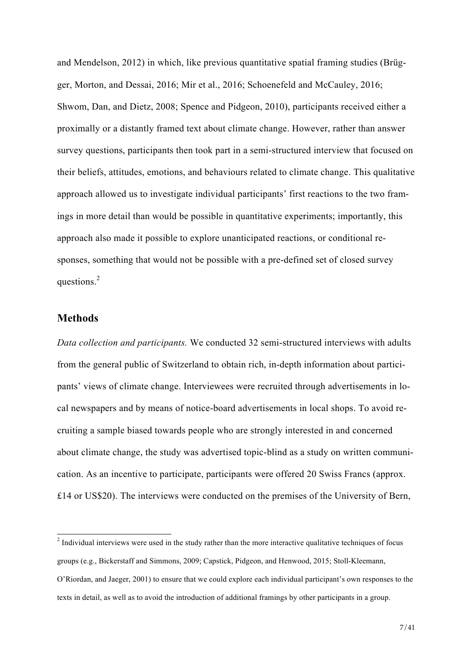and Mendelson, 2012) in which, like previous quantitative spatial framing studies (Brügger, Morton, and Dessai, 2016; Mir et al., 2016; Schoenefeld and McCauley, 2016; Shwom, Dan, and Dietz, 2008; Spence and Pidgeon, 2010), participants received either a proximally or a distantly framed text about climate change. However, rather than answer survey questions, participants then took part in a semi-structured interview that focused on their beliefs, attitudes, emotions, and behaviours related to climate change. This qualitative approach allowed us to investigate individual participants' first reactions to the two framings in more detail than would be possible in quantitative experiments; importantly, this approach also made it possible to explore unanticipated reactions, or conditional responses, something that would not be possible with a pre-defined set of closed survey questions.<sup>2</sup>

## **Methods**

*Data collection and participants.* We conducted 32 semi-structured interviews with adults from the general public of Switzerland to obtain rich, in-depth information about participants' views of climate change. Interviewees were recruited through advertisements in local newspapers and by means of notice-board advertisements in local shops. To avoid recruiting a sample biased towards people who are strongly interested in and concerned about climate change, the study was advertised topic-blind as a study on written communication. As an incentive to participate, participants were offered 20 Swiss Francs (approx. £14 or US\$20). The interviews were conducted on the premises of the University of Bern,

<sup>&</sup>lt;sup>2</sup> Individual interviews were used in the study rather than the more interactive qualitative techniques of focus groups (e.g., Bickerstaff and Simmons, 2009; Capstick, Pidgeon, and Henwood, 2015; Stoll-Kleemann, O'Riordan, and Jaeger, 2001) to ensure that we could explore each individual participant's own responses to the texts in detail, as well as to avoid the introduction of additional framings by other participants in a group.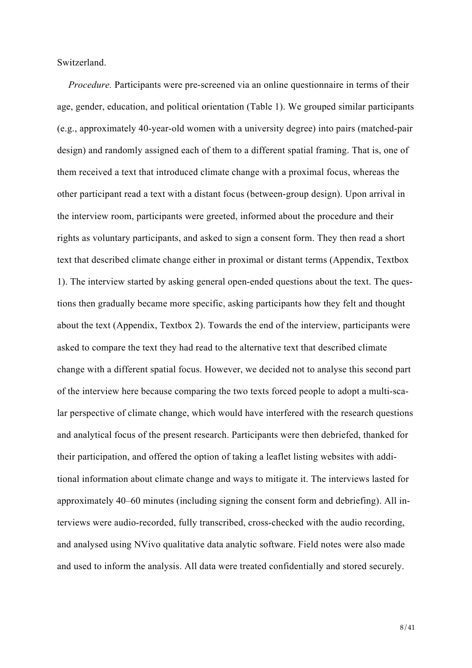Switzerland.

*Procedure.* Participants were pre-screened via an online questionnaire in terms of their age, gender, education, and political orientation (Table 1). We grouped similar participants (e.g., approximately 40-year-old women with a university degree) into pairs (matched-pair design) and randomly assigned each of them to a different spatial framing. That is, one of them received a text that introduced climate change with a proximal focus, whereas the other participant read a text with a distant focus (between-group design). Upon arrival in the interview room, participants were greeted, informed about the procedure and their rights as voluntary participants, and asked to sign a consent form. They then read a short text that described climate change either in proximal or distant terms (Appendix, Textbox 1). The interview started by asking general open-ended questions about the text. The questions then gradually became more specific, asking participants how they felt and thought about the text (Appendix, Textbox 2). Towards the end of the interview, participants were asked to compare the text they had read to the alternative text that described climate change with a different spatial focus. However, we decided not to analyse this second part of the interview here because comparing the two texts forced people to adopt a multi-scalar perspective of climate change, which would have interfered with the research questions and analytical focus of the present research. Participants were then debriefed, thanked for their participation, and offered the option of taking a leaflet listing websites with additional information about climate change and ways to mitigate it. The interviews lasted for approximately 40–60 minutes (including signing the consent form and debriefing). All interviews were audio-recorded, fully transcribed, cross-checked with the audio recording, and analysed using NVivo qualitative data analytic software. Field notes were also made and used to inform the analysis. All data were treated confidentially and stored securely.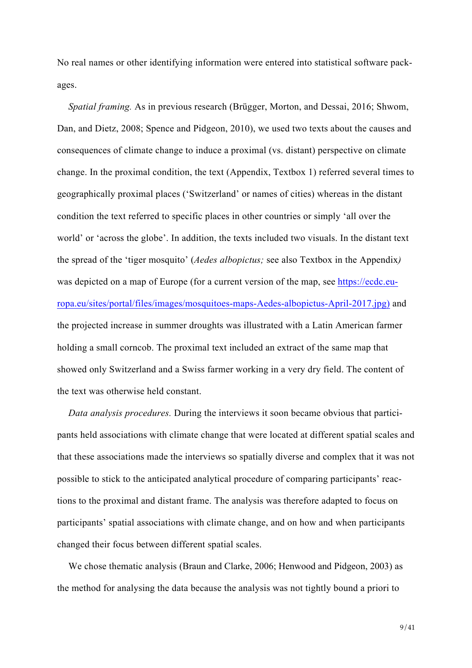No real names or other identifying information were entered into statistical software packages.

*Spatial framing.* As in previous research (Brügger, Morton, and Dessai, 2016; Shwom, Dan, and Dietz, 2008; Spence and Pidgeon, 2010), we used two texts about the causes and consequences of climate change to induce a proximal (vs. distant) perspective on climate change. In the proximal condition, the text (Appendix, Textbox 1) referred several times to geographically proximal places ('Switzerland' or names of cities) whereas in the distant condition the text referred to specific places in other countries or simply 'all over the world' or 'across the globe'. In addition, the texts included two visuals. In the distant text the spread of the 'tiger mosquito' (*Aedes albopictus;* see also Textbox in the Appendix*)* was depicted on a map of Europe (for a current version of the map, see https://ecdc.europa.eu/sites/portal/files/images/mosquitoes-maps-Aedes-albopictus-April-2017.jpg) and the projected increase in summer droughts was illustrated with a Latin American farmer holding a small corncob. The proximal text included an extract of the same map that showed only Switzerland and a Swiss farmer working in a very dry field. The content of the text was otherwise held constant.

*Data analysis procedures.* During the interviews it soon became obvious that participants held associations with climate change that were located at different spatial scales and that these associations made the interviews so spatially diverse and complex that it was not possible to stick to the anticipated analytical procedure of comparing participants' reactions to the proximal and distant frame. The analysis was therefore adapted to focus on participants' spatial associations with climate change, and on how and when participants changed their focus between different spatial scales.

We chose thematic analysis (Braun and Clarke, 2006; Henwood and Pidgeon, 2003) as the method for analysing the data because the analysis was not tightly bound a priori to

9/41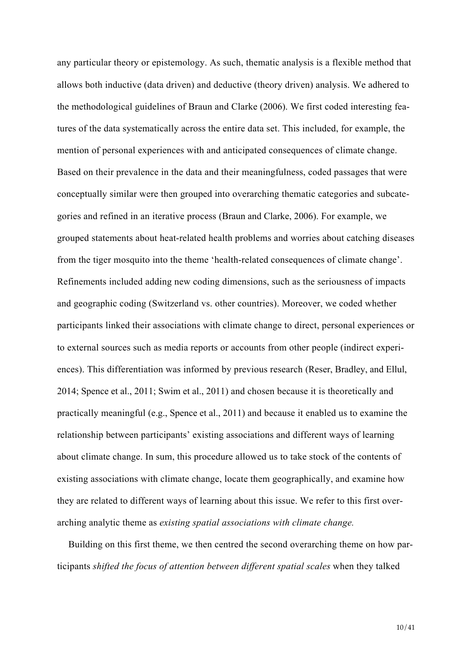any particular theory or epistemology. As such, thematic analysis is a flexible method that allows both inductive (data driven) and deductive (theory driven) analysis. We adhered to the methodological guidelines of Braun and Clarke (2006). We first coded interesting features of the data systematically across the entire data set. This included, for example, the mention of personal experiences with and anticipated consequences of climate change. Based on their prevalence in the data and their meaningfulness, coded passages that were conceptually similar were then grouped into overarching thematic categories and subcategories and refined in an iterative process (Braun and Clarke, 2006). For example, we grouped statements about heat-related health problems and worries about catching diseases from the tiger mosquito into the theme 'health-related consequences of climate change'. Refinements included adding new coding dimensions, such as the seriousness of impacts and geographic coding (Switzerland vs. other countries). Moreover, we coded whether participants linked their associations with climate change to direct, personal experiences or to external sources such as media reports or accounts from other people (indirect experiences). This differentiation was informed by previous research (Reser, Bradley, and Ellul, 2014; Spence et al., 2011; Swim et al., 2011) and chosen because it is theoretically and practically meaningful (e.g., Spence et al., 2011) and because it enabled us to examine the relationship between participants' existing associations and different ways of learning about climate change. In sum, this procedure allowed us to take stock of the contents of existing associations with climate change, locate them geographically, and examine how they are related to different ways of learning about this issue. We refer to this first overarching analytic theme as *existing spatial associations with climate change.*

Building on this first theme, we then centred the second overarching theme on how participants *shifted the focus of attention between different spatial scales* when they talked

10/41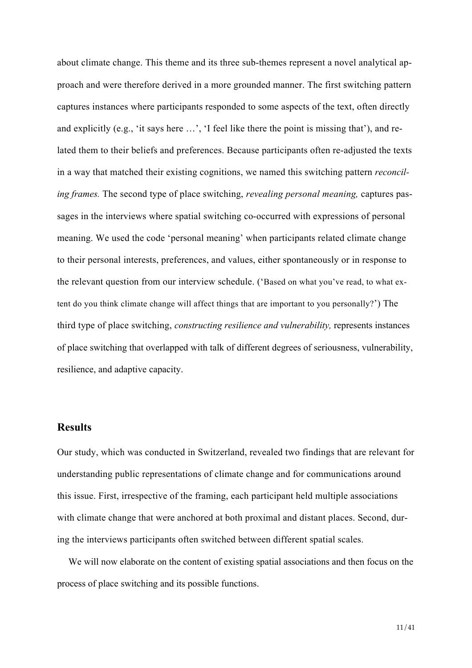about climate change. This theme and its three sub-themes represent a novel analytical approach and were therefore derived in a more grounded manner. The first switching pattern captures instances where participants responded to some aspects of the text, often directly and explicitly (e.g., 'it says here …', 'I feel like there the point is missing that'), and related them to their beliefs and preferences. Because participants often re-adjusted the texts in a way that matched their existing cognitions, we named this switching pattern *reconciling frames.* The second type of place switching, *revealing personal meaning,* captures passages in the interviews where spatial switching co-occurred with expressions of personal meaning. We used the code 'personal meaning' when participants related climate change to their personal interests, preferences, and values, either spontaneously or in response to the relevant question from our interview schedule. ('Based on what you've read, to what extent do you think climate change will affect things that are important to you personally?') The third type of place switching, *constructing resilience and vulnerability,* represents instances of place switching that overlapped with talk of different degrees of seriousness, vulnerability, resilience, and adaptive capacity.

## **Results**

Our study, which was conducted in Switzerland, revealed two findings that are relevant for understanding public representations of climate change and for communications around this issue. First, irrespective of the framing, each participant held multiple associations with climate change that were anchored at both proximal and distant places. Second, during the interviews participants often switched between different spatial scales.

We will now elaborate on the content of existing spatial associations and then focus on the process of place switching and its possible functions.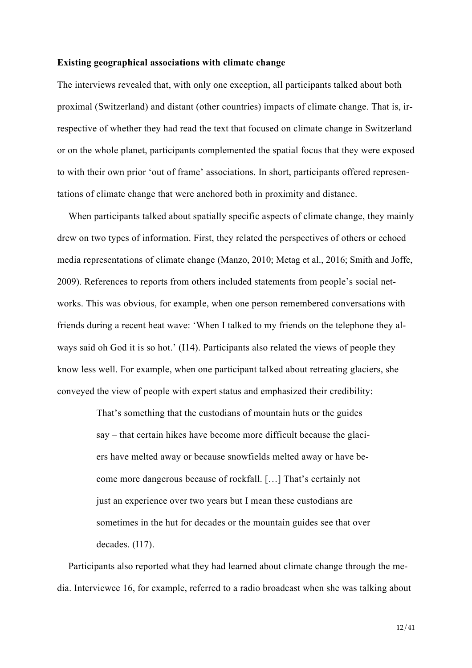#### **Existing geographical associations with climate change**

The interviews revealed that, with only one exception, all participants talked about both proximal (Switzerland) and distant (other countries) impacts of climate change. That is, irrespective of whether they had read the text that focused on climate change in Switzerland or on the whole planet, participants complemented the spatial focus that they were exposed to with their own prior 'out of frame' associations. In short, participants offered representations of climate change that were anchored both in proximity and distance.

When participants talked about spatially specific aspects of climate change, they mainly drew on two types of information. First, they related the perspectives of others or echoed media representations of climate change (Manzo, 2010; Metag et al., 2016; Smith and Joffe, 2009). References to reports from others included statements from people's social networks. This was obvious, for example, when one person remembered conversations with friends during a recent heat wave: 'When I talked to my friends on the telephone they always said oh God it is so hot.' (I14). Participants also related the views of people they know less well. For example, when one participant talked about retreating glaciers, she conveyed the view of people with expert status and emphasized their credibility:

> That's something that the custodians of mountain huts or the guides say – that certain hikes have become more difficult because the glaciers have melted away or because snowfields melted away or have become more dangerous because of rockfall. […] That's certainly not just an experience over two years but I mean these custodians are sometimes in the hut for decades or the mountain guides see that over decades. (I17).

Participants also reported what they had learned about climate change through the media. Interviewee 16, for example, referred to a radio broadcast when she was talking about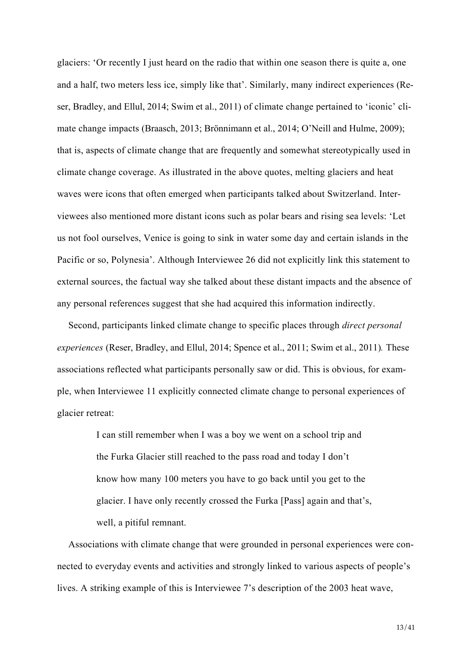glaciers: 'Or recently I just heard on the radio that within one season there is quite a, one and a half, two meters less ice, simply like that'. Similarly, many indirect experiences (Reser, Bradley, and Ellul, 2014; Swim et al., 2011) of climate change pertained to 'iconic' climate change impacts (Braasch, 2013; Brönnimann et al., 2014; O'Neill and Hulme, 2009); that is, aspects of climate change that are frequently and somewhat stereotypically used in climate change coverage. As illustrated in the above quotes, melting glaciers and heat waves were icons that often emerged when participants talked about Switzerland. Interviewees also mentioned more distant icons such as polar bears and rising sea levels: 'Let us not fool ourselves, Venice is going to sink in water some day and certain islands in the Pacific or so, Polynesia'. Although Interviewee 26 did not explicitly link this statement to external sources, the factual way she talked about these distant impacts and the absence of any personal references suggest that she had acquired this information indirectly.

Second, participants linked climate change to specific places through *direct personal experiences* (Reser, Bradley, and Ellul, 2014; Spence et al., 2011; Swim et al., 2011)*.* These associations reflected what participants personally saw or did. This is obvious, for example, when Interviewee 11 explicitly connected climate change to personal experiences of glacier retreat:

> I can still remember when I was a boy we went on a school trip and the Furka Glacier still reached to the pass road and today I don't know how many 100 meters you have to go back until you get to the glacier. I have only recently crossed the Furka [Pass] again and that's, well, a pitiful remnant.

Associations with climate change that were grounded in personal experiences were connected to everyday events and activities and strongly linked to various aspects of people's lives. A striking example of this is Interviewee 7's description of the 2003 heat wave,

13/41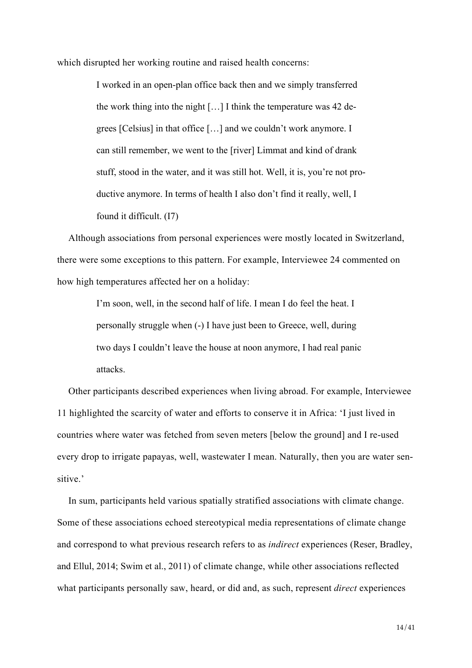which disrupted her working routine and raised health concerns:

I worked in an open-plan office back then and we simply transferred the work thing into the night […] I think the temperature was 42 degrees [Celsius] in that office […] and we couldn't work anymore. I can still remember, we went to the [river] Limmat and kind of drank stuff, stood in the water, and it was still hot. Well, it is, you're not productive anymore. In terms of health I also don't find it really, well, I found it difficult. (I7)

Although associations from personal experiences were mostly located in Switzerland, there were some exceptions to this pattern. For example, Interviewee 24 commented on how high temperatures affected her on a holiday:

> I'm soon, well, in the second half of life. I mean I do feel the heat. I personally struggle when (-) I have just been to Greece, well, during two days I couldn't leave the house at noon anymore, I had real panic attacks.

Other participants described experiences when living abroad. For example, Interviewee 11 highlighted the scarcity of water and efforts to conserve it in Africa: 'I just lived in countries where water was fetched from seven meters [below the ground] and I re-used every drop to irrigate papayas, well, wastewater I mean. Naturally, then you are water sensitive.'

In sum, participants held various spatially stratified associations with climate change. Some of these associations echoed stereotypical media representations of climate change and correspond to what previous research refers to as *indirect* experiences (Reser, Bradley, and Ellul, 2014; Swim et al., 2011) of climate change, while other associations reflected what participants personally saw, heard, or did and, as such, represent *direct* experiences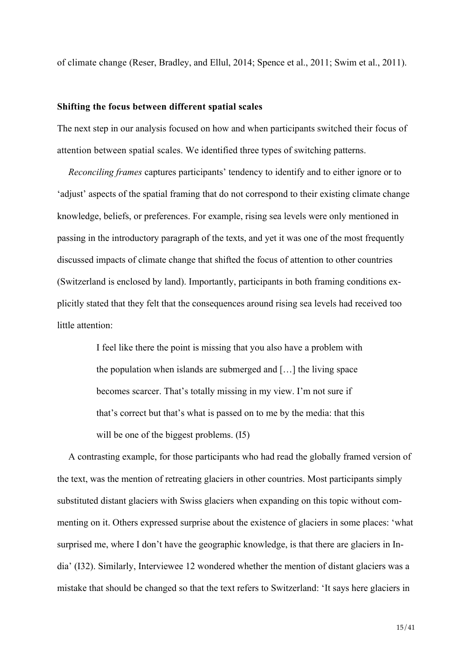of climate change (Reser, Bradley, and Ellul, 2014; Spence et al., 2011; Swim et al., 2011).

#### **Shifting the focus between different spatial scales**

The next step in our analysis focused on how and when participants switched their focus of attention between spatial scales. We identified three types of switching patterns.

*Reconciling frames* captures participants' tendency to identify and to either ignore or to 'adjust' aspects of the spatial framing that do not correspond to their existing climate change knowledge, beliefs, or preferences. For example, rising sea levels were only mentioned in passing in the introductory paragraph of the texts, and yet it was one of the most frequently discussed impacts of climate change that shifted the focus of attention to other countries (Switzerland is enclosed by land). Importantly, participants in both framing conditions explicitly stated that they felt that the consequences around rising sea levels had received too little attention:

> I feel like there the point is missing that you also have a problem with the population when islands are submerged and […] the living space becomes scarcer. That's totally missing in my view. I'm not sure if that's correct but that's what is passed on to me by the media: that this will be one of the biggest problems.  $(15)$

A contrasting example, for those participants who had read the globally framed version of the text, was the mention of retreating glaciers in other countries. Most participants simply substituted distant glaciers with Swiss glaciers when expanding on this topic without commenting on it. Others expressed surprise about the existence of glaciers in some places: 'what surprised me, where I don't have the geographic knowledge, is that there are glaciers in India' (I32). Similarly, Interviewee 12 wondered whether the mention of distant glaciers was a mistake that should be changed so that the text refers to Switzerland: 'It says here glaciers in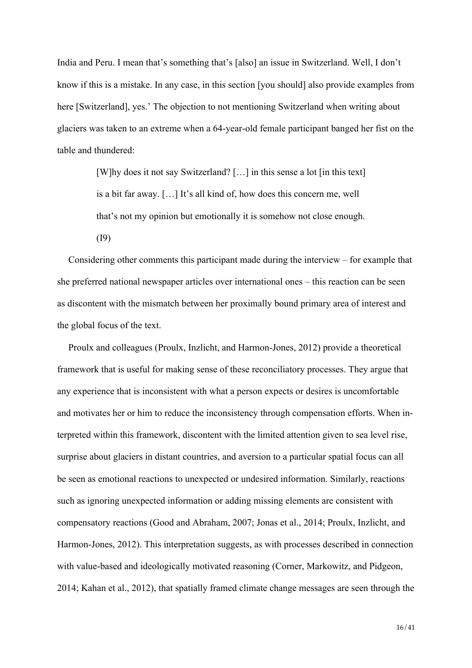India and Peru. I mean that's something that's [also] an issue in Switzerland. Well, I don't know if this is a mistake. In any case, in this section [you should] also provide examples from here [Switzerland], yes.' The objection to not mentioning Switzerland when writing about glaciers was taken to an extreme when a 64-year-old female participant banged her fist on the table and thundered:

> [W]hy does it not say Switzerland? […] in this sense a lot [in this text] is a bit far away. […] It's all kind of, how does this concern me, well that's not my opinion but emotionally it is somehow not close enough. (I9)

Considering other comments this participant made during the interview – for example that she preferred national newspaper articles over international ones – this reaction can be seen as discontent with the mismatch between her proximally bound primary area of interest and the global focus of the text.

Proulx and colleagues (Proulx, Inzlicht, and Harmon-Jones, 2012) provide a theoretical framework that is useful for making sense of these reconciliatory processes. They argue that any experience that is inconsistent with what a person expects or desires is uncomfortable and motivates her or him to reduce the inconsistency through compensation efforts. When interpreted within this framework, discontent with the limited attention given to sea level rise, surprise about glaciers in distant countries, and aversion to a particular spatial focus can all be seen as emotional reactions to unexpected or undesired information. Similarly, reactions such as ignoring unexpected information or adding missing elements are consistent with compensatory reactions (Good and Abraham, 2007; Jonas et al., 2014; Proulx, Inzlicht, and Harmon-Jones, 2012). This interpretation suggests, as with processes described in connection with value-based and ideologically motivated reasoning (Corner, Markowitz, and Pidgeon, 2014; Kahan et al., 2012), that spatially framed climate change messages are seen through the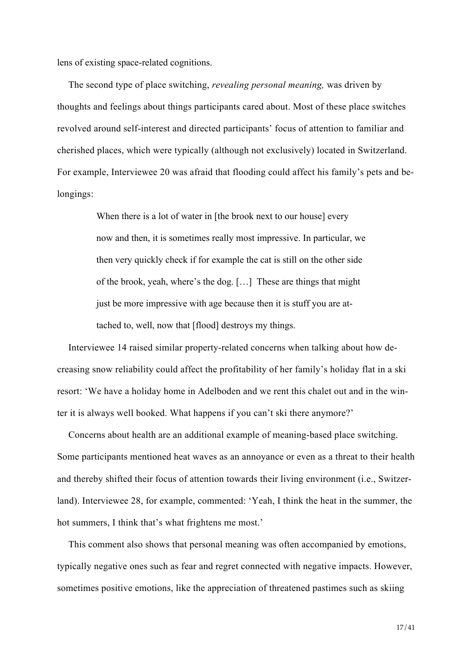lens of existing space-related cognitions.

The second type of place switching, *revealing personal meaning,* was driven by thoughts and feelings about things participants cared about. Most of these place switches revolved around self-interest and directed participants' focus of attention to familiar and cherished places, which were typically (although not exclusively) located in Switzerland. For example, Interviewee 20 was afraid that flooding could affect his family's pets and belongings:

> When there is a lot of water in [the brook next to our house] every now and then, it is sometimes really most impressive. In particular, we then very quickly check if for example the cat is still on the other side of the brook, yeah, where's the dog. […] These are things that might just be more impressive with age because then it is stuff you are attached to, well, now that [flood] destroys my things.

Interviewee 14 raised similar property-related concerns when talking about how decreasing snow reliability could affect the profitability of her family's holiday flat in a ski resort: 'We have a holiday home in Adelboden and we rent this chalet out and in the winter it is always well booked. What happens if you can't ski there anymore?'

Concerns about health are an additional example of meaning-based place switching. Some participants mentioned heat waves as an annoyance or even as a threat to their health and thereby shifted their focus of attention towards their living environment (i.e., Switzerland). Interviewee 28, for example, commented: 'Yeah, I think the heat in the summer, the hot summers, I think that's what frightens me most.'

This comment also shows that personal meaning was often accompanied by emotions, typically negative ones such as fear and regret connected with negative impacts. However, sometimes positive emotions, like the appreciation of threatened pastimes such as skiing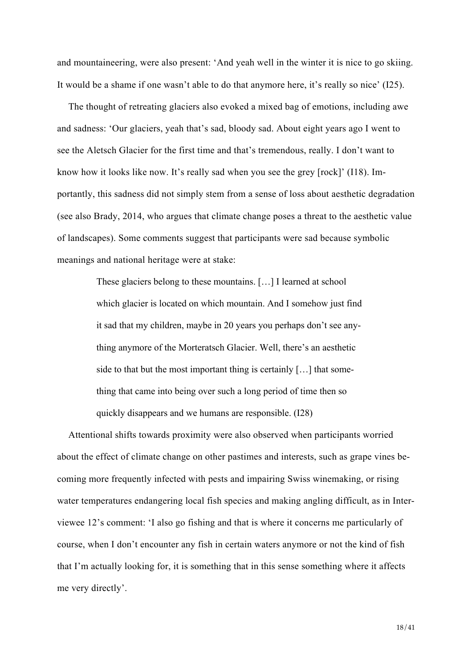and mountaineering, were also present: 'And yeah well in the winter it is nice to go skiing. It would be a shame if one wasn't able to do that anymore here, it's really so nice' (I25).

The thought of retreating glaciers also evoked a mixed bag of emotions, including awe and sadness: 'Our glaciers, yeah that's sad, bloody sad. About eight years ago I went to see the Aletsch Glacier for the first time and that's tremendous, really. I don't want to know how it looks like now. It's really sad when you see the grey [rock]' (I18). Importantly, this sadness did not simply stem from a sense of loss about aesthetic degradation (see also Brady, 2014, who argues that climate change poses a threat to the aesthetic value of landscapes). Some comments suggest that participants were sad because symbolic meanings and national heritage were at stake:

> These glaciers belong to these mountains. […] I learned at school which glacier is located on which mountain. And I somehow just find it sad that my children, maybe in 20 years you perhaps don't see anything anymore of the Morteratsch Glacier. Well, there's an aesthetic side to that but the most important thing is certainly […] that something that came into being over such a long period of time then so quickly disappears and we humans are responsible. (I28)

Attentional shifts towards proximity were also observed when participants worried about the effect of climate change on other pastimes and interests, such as grape vines becoming more frequently infected with pests and impairing Swiss winemaking, or rising water temperatures endangering local fish species and making angling difficult, as in Interviewee 12's comment: 'I also go fishing and that is where it concerns me particularly of course, when I don't encounter any fish in certain waters anymore or not the kind of fish that I'm actually looking for, it is something that in this sense something where it affects me very directly'.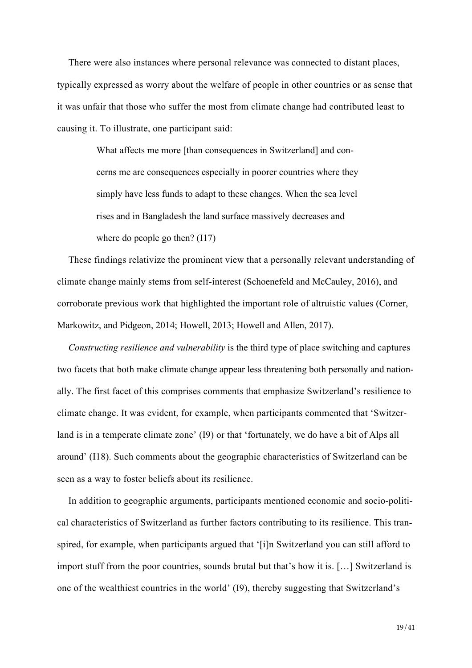There were also instances where personal relevance was connected to distant places, typically expressed as worry about the welfare of people in other countries or as sense that it was unfair that those who suffer the most from climate change had contributed least to causing it. To illustrate, one participant said:

> What affects me more [than consequences in Switzerland] and concerns me are consequences especially in poorer countries where they simply have less funds to adapt to these changes. When the sea level rises and in Bangladesh the land surface massively decreases and where do people go then? (I17)

These findings relativize the prominent view that a personally relevant understanding of climate change mainly stems from self-interest (Schoenefeld and McCauley, 2016), and corroborate previous work that highlighted the important role of altruistic values (Corner, Markowitz, and Pidgeon, 2014; Howell, 2013; Howell and Allen, 2017).

*Constructing resilience and vulnerability* is the third type of place switching and captures two facets that both make climate change appear less threatening both personally and nationally. The first facet of this comprises comments that emphasize Switzerland's resilience to climate change. It was evident, for example, when participants commented that 'Switzerland is in a temperate climate zone' (I9) or that 'fortunately, we do have a bit of Alps all around' (I18). Such comments about the geographic characteristics of Switzerland can be seen as a way to foster beliefs about its resilience.

In addition to geographic arguments, participants mentioned economic and socio-political characteristics of Switzerland as further factors contributing to its resilience. This transpired, for example, when participants argued that '[i]n Switzerland you can still afford to import stuff from the poor countries, sounds brutal but that's how it is. […] Switzerland is one of the wealthiest countries in the world' (I9), thereby suggesting that Switzerland's

19/41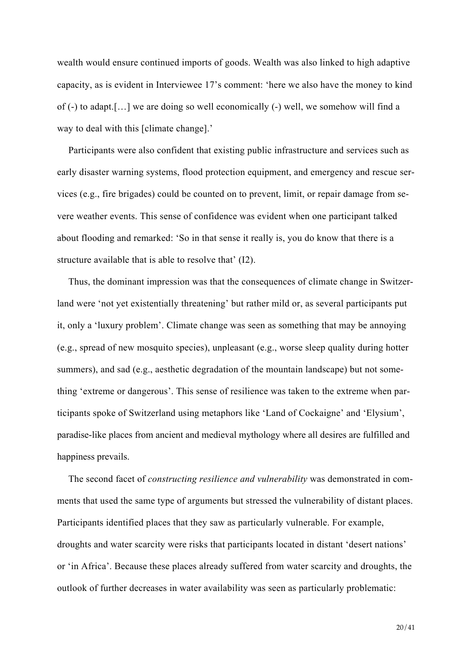wealth would ensure continued imports of goods. Wealth was also linked to high adaptive capacity, as is evident in Interviewee 17's comment: 'here we also have the money to kind of (-) to adapt.[…] we are doing so well economically (-) well, we somehow will find a way to deal with this [climate change].'

Participants were also confident that existing public infrastructure and services such as early disaster warning systems, flood protection equipment, and emergency and rescue services (e.g., fire brigades) could be counted on to prevent, limit, or repair damage from severe weather events. This sense of confidence was evident when one participant talked about flooding and remarked: 'So in that sense it really is, you do know that there is a structure available that is able to resolve that' (I2).

Thus, the dominant impression was that the consequences of climate change in Switzerland were 'not yet existentially threatening' but rather mild or, as several participants put it, only a 'luxury problem'. Climate change was seen as something that may be annoying (e.g., spread of new mosquito species), unpleasant (e.g., worse sleep quality during hotter summers), and sad (e.g., aesthetic degradation of the mountain landscape) but not something 'extreme or dangerous'. This sense of resilience was taken to the extreme when participants spoke of Switzerland using metaphors like 'Land of Cockaigne' and 'Elysium', paradise-like places from ancient and medieval mythology where all desires are fulfilled and happiness prevails.

The second facet of *constructing resilience and vulnerability* was demonstrated in comments that used the same type of arguments but stressed the vulnerability of distant places. Participants identified places that they saw as particularly vulnerable. For example, droughts and water scarcity were risks that participants located in distant 'desert nations' or 'in Africa'. Because these places already suffered from water scarcity and droughts, the outlook of further decreases in water availability was seen as particularly problematic: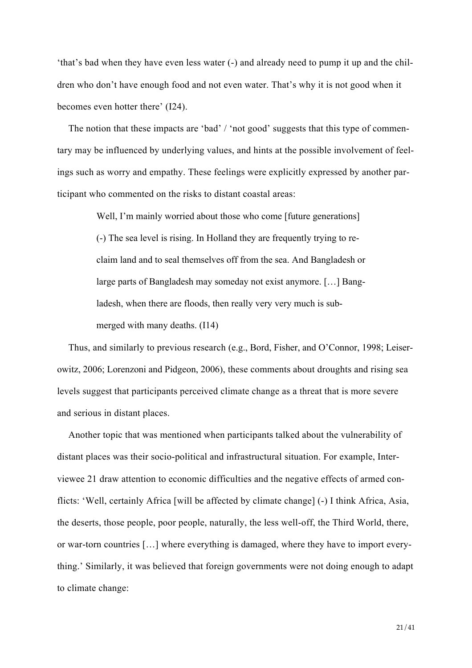'that's bad when they have even less water (-) and already need to pump it up and the children who don't have enough food and not even water. That's why it is not good when it becomes even hotter there' (I24).

The notion that these impacts are 'bad' / 'not good' suggests that this type of commentary may be influenced by underlying values, and hints at the possible involvement of feelings such as worry and empathy. These feelings were explicitly expressed by another participant who commented on the risks to distant coastal areas:

> Well, I'm mainly worried about those who come [future generations] (-) The sea level is rising. In Holland they are frequently trying to reclaim land and to seal themselves off from the sea. And Bangladesh or large parts of Bangladesh may someday not exist anymore. […] Bangladesh, when there are floods, then really very very much is submerged with many deaths. (I14)

Thus, and similarly to previous research (e.g., Bord, Fisher, and O'Connor, 1998; Leiserowitz, 2006; Lorenzoni and Pidgeon, 2006), these comments about droughts and rising sea levels suggest that participants perceived climate change as a threat that is more severe and serious in distant places.

Another topic that was mentioned when participants talked about the vulnerability of distant places was their socio-political and infrastructural situation. For example, Interviewee 21 draw attention to economic difficulties and the negative effects of armed conflicts: 'Well, certainly Africa [will be affected by climate change] (-) I think Africa, Asia, the deserts, those people, poor people, naturally, the less well-off, the Third World, there, or war-torn countries […] where everything is damaged, where they have to import everything.' Similarly, it was believed that foreign governments were not doing enough to adapt to climate change: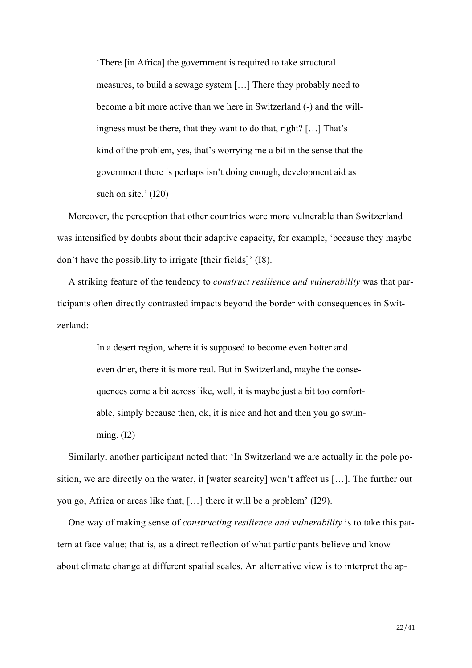'There [in Africa] the government is required to take structural measures, to build a sewage system […] There they probably need to become a bit more active than we here in Switzerland (-) and the willingness must be there, that they want to do that, right? […] That's kind of the problem, yes, that's worrying me a bit in the sense that the government there is perhaps isn't doing enough, development aid as such on site.' (I20)

Moreover, the perception that other countries were more vulnerable than Switzerland was intensified by doubts about their adaptive capacity, for example, 'because they maybe don't have the possibility to irrigate [their fields]' (I8).

A striking feature of the tendency to *construct resilience and vulnerability* was that participants often directly contrasted impacts beyond the border with consequences in Switzerland:

> In a desert region, where it is supposed to become even hotter and even drier, there it is more real. But in Switzerland, maybe the consequences come a bit across like, well, it is maybe just a bit too comfortable, simply because then, ok, it is nice and hot and then you go swimming. (I2)

Similarly, another participant noted that: 'In Switzerland we are actually in the pole position, we are directly on the water, it [water scarcity] won't affect us […]. The further out you go, Africa or areas like that, […] there it will be a problem' (I29).

One way of making sense of *constructing resilience and vulnerability* is to take this pattern at face value; that is, as a direct reflection of what participants believe and know about climate change at different spatial scales. An alternative view is to interpret the ap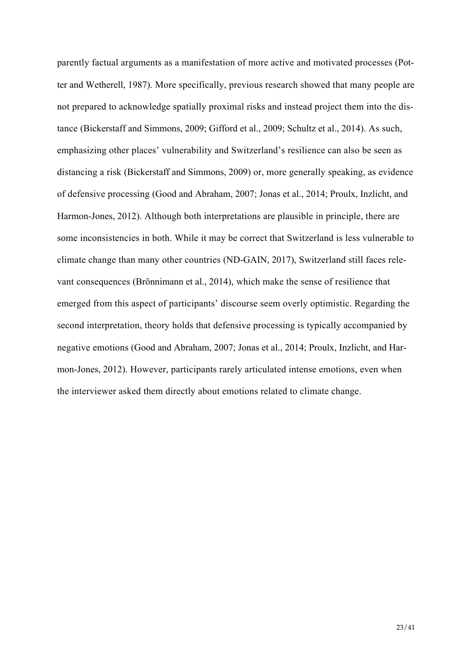parently factual arguments as a manifestation of more active and motivated processes (Potter and Wetherell, 1987). More specifically, previous research showed that many people are not prepared to acknowledge spatially proximal risks and instead project them into the distance (Bickerstaff and Simmons, 2009; Gifford et al., 2009; Schultz et al., 2014). As such, emphasizing other places' vulnerability and Switzerland's resilience can also be seen as distancing a risk (Bickerstaff and Simmons, 2009) or, more generally speaking, as evidence of defensive processing (Good and Abraham, 2007; Jonas et al., 2014; Proulx, Inzlicht, and Harmon-Jones, 2012). Although both interpretations are plausible in principle, there are some inconsistencies in both. While it may be correct that Switzerland is less vulnerable to climate change than many other countries (ND-GAIN, 2017), Switzerland still faces relevant consequences (Brönnimann et al., 2014), which make the sense of resilience that emerged from this aspect of participants' discourse seem overly optimistic. Regarding the second interpretation, theory holds that defensive processing is typically accompanied by negative emotions (Good and Abraham, 2007; Jonas et al., 2014; Proulx, Inzlicht, and Harmon-Jones, 2012). However, participants rarely articulated intense emotions, even when the interviewer asked them directly about emotions related to climate change.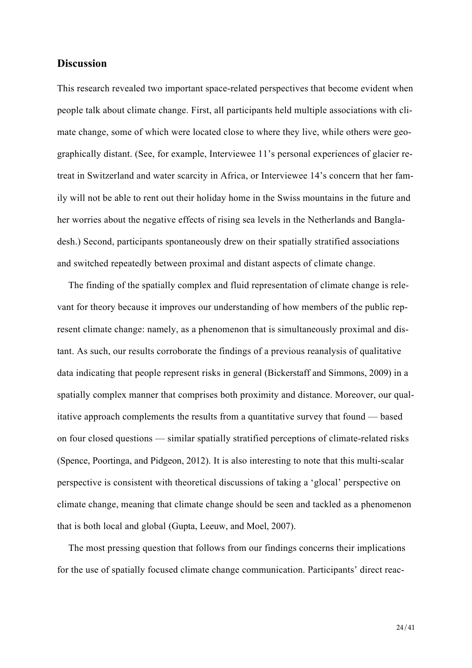# **Discussion**

This research revealed two important space-related perspectives that become evident when people talk about climate change. First, all participants held multiple associations with climate change, some of which were located close to where they live, while others were geographically distant. (See, for example, Interviewee 11's personal experiences of glacier retreat in Switzerland and water scarcity in Africa, or Interviewee 14's concern that her family will not be able to rent out their holiday home in the Swiss mountains in the future and her worries about the negative effects of rising sea levels in the Netherlands and Bangladesh.) Second, participants spontaneously drew on their spatially stratified associations and switched repeatedly between proximal and distant aspects of climate change.

The finding of the spatially complex and fluid representation of climate change is relevant for theory because it improves our understanding of how members of the public represent climate change: namely, as a phenomenon that is simultaneously proximal and distant. As such, our results corroborate the findings of a previous reanalysis of qualitative data indicating that people represent risks in general (Bickerstaff and Simmons, 2009) in a spatially complex manner that comprises both proximity and distance. Moreover, our qualitative approach complements the results from a quantitative survey that found –– based on four closed questions –– similar spatially stratified perceptions of climate-related risks (Spence, Poortinga, and Pidgeon, 2012). It is also interesting to note that this multi-scalar perspective is consistent with theoretical discussions of taking a 'glocal' perspective on climate change, meaning that climate change should be seen and tackled as a phenomenon that is both local and global (Gupta, Leeuw, and Moel, 2007).

The most pressing question that follows from our findings concerns their implications for the use of spatially focused climate change communication. Participants' direct reac-

24/41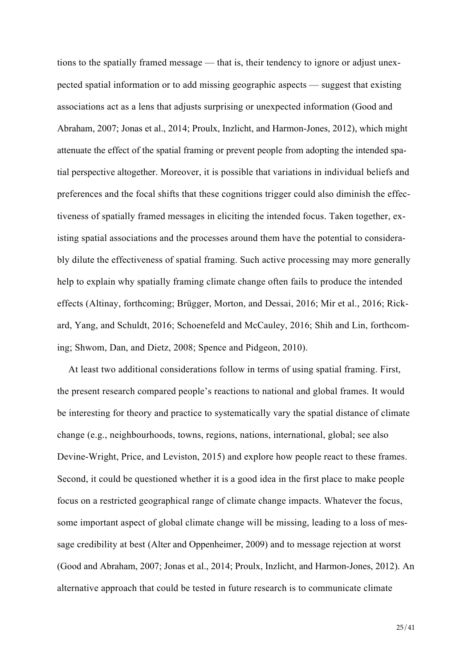tions to the spatially framed message — that is, their tendency to ignore or adjust unexpected spatial information or to add missing geographic aspects — suggest that existing associations act as a lens that adjusts surprising or unexpected information (Good and Abraham, 2007; Jonas et al., 2014; Proulx, Inzlicht, and Harmon-Jones, 2012), which might attenuate the effect of the spatial framing or prevent people from adopting the intended spatial perspective altogether. Moreover, it is possible that variations in individual beliefs and preferences and the focal shifts that these cognitions trigger could also diminish the effectiveness of spatially framed messages in eliciting the intended focus. Taken together, existing spatial associations and the processes around them have the potential to considerably dilute the effectiveness of spatial framing. Such active processing may more generally help to explain why spatially framing climate change often fails to produce the intended effects (Altinay, forthcoming; Brügger, Morton, and Dessai, 2016; Mir et al., 2016; Rickard, Yang, and Schuldt, 2016; Schoenefeld and McCauley, 2016; Shih and Lin, forthcoming; Shwom, Dan, and Dietz, 2008; Spence and Pidgeon, 2010).

At least two additional considerations follow in terms of using spatial framing. First, the present research compared people's reactions to national and global frames. It would be interesting for theory and practice to systematically vary the spatial distance of climate change (e.g., neighbourhoods, towns, regions, nations, international, global; see also Devine-Wright, Price, and Leviston, 2015) and explore how people react to these frames. Second, it could be questioned whether it is a good idea in the first place to make people focus on a restricted geographical range of climate change impacts. Whatever the focus, some important aspect of global climate change will be missing, leading to a loss of message credibility at best (Alter and Oppenheimer, 2009) and to message rejection at worst (Good and Abraham, 2007; Jonas et al., 2014; Proulx, Inzlicht, and Harmon-Jones, 2012). An alternative approach that could be tested in future research is to communicate climate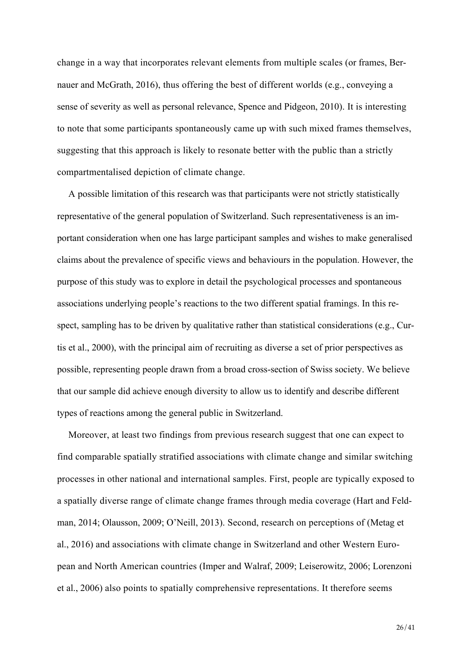change in a way that incorporates relevant elements from multiple scales (or frames, Bernauer and McGrath, 2016), thus offering the best of different worlds (e.g., conveying a sense of severity as well as personal relevance, Spence and Pidgeon, 2010). It is interesting to note that some participants spontaneously came up with such mixed frames themselves, suggesting that this approach is likely to resonate better with the public than a strictly compartmentalised depiction of climate change.

A possible limitation of this research was that participants were not strictly statistically representative of the general population of Switzerland. Such representativeness is an important consideration when one has large participant samples and wishes to make generalised claims about the prevalence of specific views and behaviours in the population. However, the purpose of this study was to explore in detail the psychological processes and spontaneous associations underlying people's reactions to the two different spatial framings. In this respect, sampling has to be driven by qualitative rather than statistical considerations (e.g., Curtis et al., 2000), with the principal aim of recruiting as diverse a set of prior perspectives as possible, representing people drawn from a broad cross-section of Swiss society. We believe that our sample did achieve enough diversity to allow us to identify and describe different types of reactions among the general public in Switzerland.

Moreover, at least two findings from previous research suggest that one can expect to find comparable spatially stratified associations with climate change and similar switching processes in other national and international samples. First, people are typically exposed to a spatially diverse range of climate change frames through media coverage (Hart and Feldman, 2014; Olausson, 2009; O'Neill, 2013). Second, research on perceptions of (Metag et al., 2016) and associations with climate change in Switzerland and other Western European and North American countries (Imper and Walraf, 2009; Leiserowitz, 2006; Lorenzoni et al., 2006) also points to spatially comprehensive representations. It therefore seems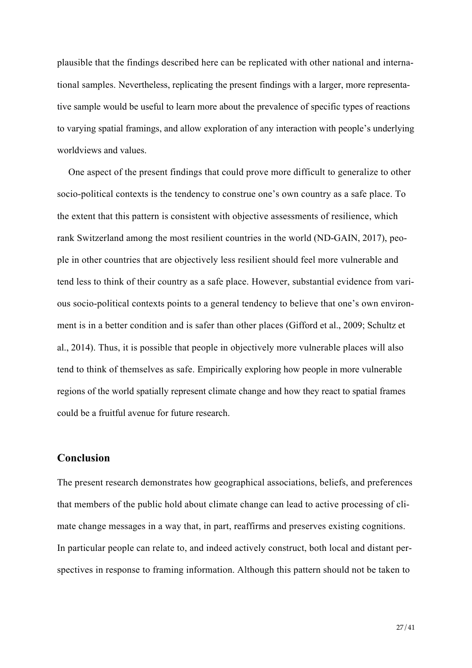plausible that the findings described here can be replicated with other national and international samples. Nevertheless, replicating the present findings with a larger, more representative sample would be useful to learn more about the prevalence of specific types of reactions to varying spatial framings, and allow exploration of any interaction with people's underlying worldviews and values.

One aspect of the present findings that could prove more difficult to generalize to other socio-political contexts is the tendency to construe one's own country as a safe place. To the extent that this pattern is consistent with objective assessments of resilience, which rank Switzerland among the most resilient countries in the world (ND-GAIN, 2017), people in other countries that are objectively less resilient should feel more vulnerable and tend less to think of their country as a safe place. However, substantial evidence from various socio-political contexts points to a general tendency to believe that one's own environment is in a better condition and is safer than other places (Gifford et al., 2009; Schultz et al., 2014). Thus, it is possible that people in objectively more vulnerable places will also tend to think of themselves as safe. Empirically exploring how people in more vulnerable regions of the world spatially represent climate change and how they react to spatial frames could be a fruitful avenue for future research.

# **Conclusion**

The present research demonstrates how geographical associations, beliefs, and preferences that members of the public hold about climate change can lead to active processing of climate change messages in a way that, in part, reaffirms and preserves existing cognitions. In particular people can relate to, and indeed actively construct, both local and distant perspectives in response to framing information. Although this pattern should not be taken to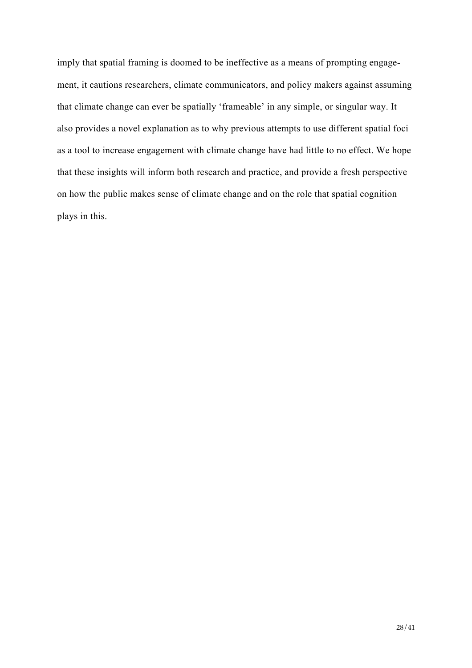imply that spatial framing is doomed to be ineffective as a means of prompting engagement, it cautions researchers, climate communicators, and policy makers against assuming that climate change can ever be spatially 'frameable' in any simple, or singular way. It also provides a novel explanation as to why previous attempts to use different spatial foci as a tool to increase engagement with climate change have had little to no effect. We hope that these insights will inform both research and practice, and provide a fresh perspective on how the public makes sense of climate change and on the role that spatial cognition plays in this.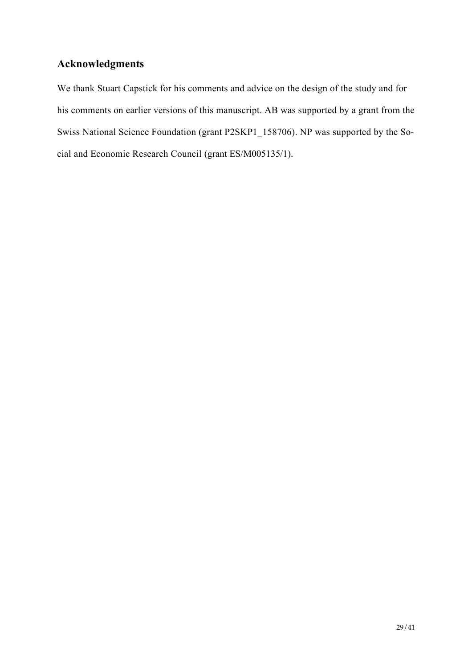# **Acknowledgments**

We thank Stuart Capstick for his comments and advice on the design of the study and for his comments on earlier versions of this manuscript. AB was supported by a grant from the Swiss National Science Foundation (grant P2SKP1\_158706). NP was supported by the Social and Economic Research Council (grant ES/M005135/1).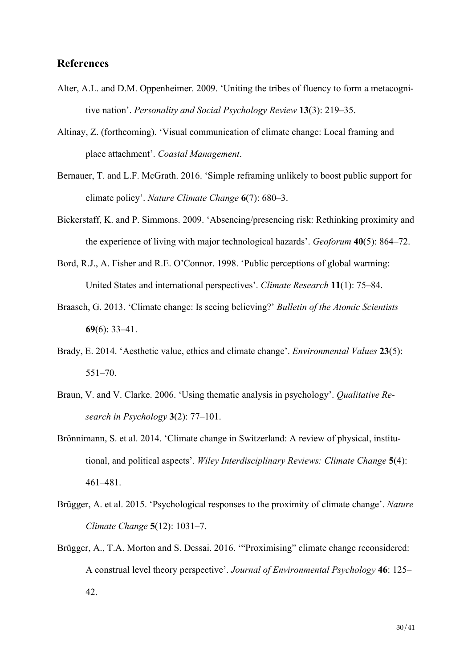# **References**

- Alter, A.L. and D.M. Oppenheimer. 2009. 'Uniting the tribes of fluency to form a metacognitive nation'. *Personality and Social Psychology Review* **13**(3): 219–35.
- Altinay, Z. (forthcoming). 'Visual communication of climate change: Local framing and place attachment'. *Coastal Management*.
- Bernauer, T. and L.F. McGrath. 2016. 'Simple reframing unlikely to boost public support for climate policy'. *Nature Climate Change* **6**(7): 680–3.
- Bickerstaff, K. and P. Simmons. 2009. 'Absencing/presencing risk: Rethinking proximity and the experience of living with major technological hazards'. *Geoforum* **40**(5): 864–72.
- Bord, R.J., A. Fisher and R.E. O'Connor. 1998. 'Public perceptions of global warming: United States and international perspectives'. *Climate Research* **11**(1): 75–84.
- Braasch, G. 2013. 'Climate change: Is seeing believing?' *Bulletin of the Atomic Scientists* **69**(6): 33–41.
- Brady, E. 2014. 'Aesthetic value, ethics and climate change'. *Environmental Values* **23**(5): 551–70.
- Braun, V. and V. Clarke. 2006. 'Using thematic analysis in psychology'. *Qualitative Research in Psychology* **3**(2): 77–101.
- Brönnimann, S. et al. 2014. 'Climate change in Switzerland: A review of physical, institutional, and political aspects'. *Wiley Interdisciplinary Reviews: Climate Change* **5**(4): 461–481.
- Brügger, A. et al. 2015. 'Psychological responses to the proximity of climate change'. *Nature Climate Change* **5**(12): 1031–7.
- Brügger, A., T.A. Morton and S. Dessai. 2016. '"Proximising" climate change reconsidered: A construal level theory perspective'. *Journal of Environmental Psychology* **46**: 125– 42.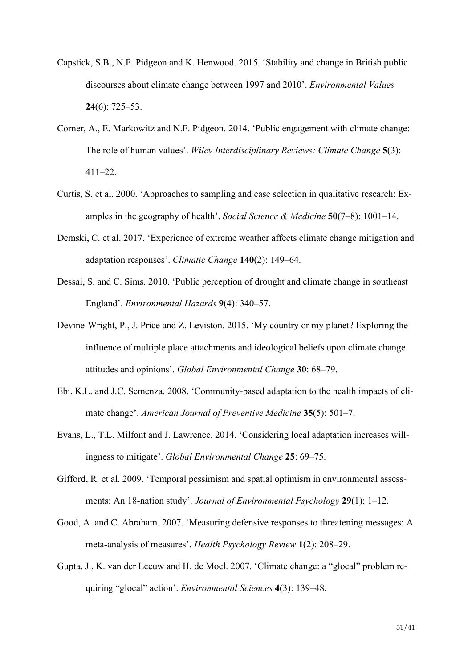- Capstick, S.B., N.F. Pidgeon and K. Henwood. 2015. 'Stability and change in British public discourses about climate change between 1997 and 2010'. *Environmental Values* **24**(6): 725–53.
- Corner, A., E. Markowitz and N.F. Pidgeon. 2014. 'Public engagement with climate change: The role of human values'. *Wiley Interdisciplinary Reviews: Climate Change* **5**(3): 411–22.
- Curtis, S. et al. 2000. 'Approaches to sampling and case selection in qualitative research: Examples in the geography of health'. *Social Science & Medicine* **50**(7–8): 1001–14.
- Demski, C. et al. 2017. 'Experience of extreme weather affects climate change mitigation and adaptation responses'. *Climatic Change* **140**(2): 149–64.
- Dessai, S. and C. Sims. 2010. 'Public perception of drought and climate change in southeast England'. *Environmental Hazards* **9**(4): 340–57.
- Devine-Wright, P., J. Price and Z. Leviston. 2015. 'My country or my planet? Exploring the influence of multiple place attachments and ideological beliefs upon climate change attitudes and opinions'. *Global Environmental Change* **30**: 68–79.
- Ebi, K.L. and J.C. Semenza. 2008. 'Community-based adaptation to the health impacts of climate change'. *American Journal of Preventive Medicine* **35**(5): 501–7.
- Evans, L., T.L. Milfont and J. Lawrence. 2014. 'Considering local adaptation increases willingness to mitigate'. *Global Environmental Change* **25**: 69–75.
- Gifford, R. et al. 2009. 'Temporal pessimism and spatial optimism in environmental assessments: An 18-nation study'. *Journal of Environmental Psychology* **29**(1): 1–12.
- Good, A. and C. Abraham. 2007. 'Measuring defensive responses to threatening messages: A meta-analysis of measures'. *Health Psychology Review* **1**(2): 208–29.
- Gupta, J., K. van der Leeuw and H. de Moel. 2007. 'Climate change: a "glocal" problem requiring "glocal" action'. *Environmental Sciences* **4**(3): 139–48.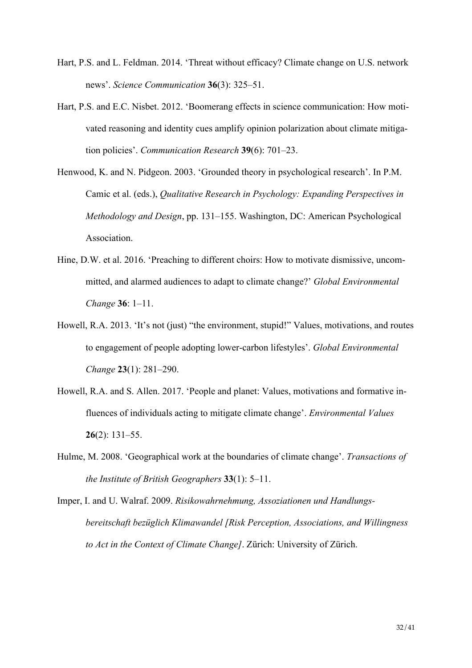- Hart, P.S. and L. Feldman. 2014. 'Threat without efficacy? Climate change on U.S. network news'. *Science Communication* **36**(3): 325–51.
- Hart, P.S. and E.C. Nisbet. 2012. 'Boomerang effects in science communication: How motivated reasoning and identity cues amplify opinion polarization about climate mitigation policies'. *Communication Research* **39**(6): 701–23.
- Henwood, K. and N. Pidgeon. 2003. 'Grounded theory in psychological research'. In P.M. Camic et al. (eds.), *Qualitative Research in Psychology: Expanding Perspectives in Methodology and Design*, pp. 131–155. Washington, DC: American Psychological Association.
- Hine, D.W. et al. 2016. 'Preaching to different choirs: How to motivate dismissive, uncommitted, and alarmed audiences to adapt to climate change?' *Global Environmental Change* **36**: 1–11.
- Howell, R.A. 2013. 'It's not (just) "the environment, stupid!" Values, motivations, and routes to engagement of people adopting lower-carbon lifestyles'. *Global Environmental Change* **23**(1): 281–290.
- Howell, R.A. and S. Allen. 2017. 'People and planet: Values, motivations and formative influences of individuals acting to mitigate climate change'. *Environmental Values* **26**(2): 131–55.
- Hulme, M. 2008. 'Geographical work at the boundaries of climate change'. *Transactions of the Institute of British Geographers* **33**(1): 5–11.
- Imper, I. and U. Walraf. 2009. *Risikowahrnehmung, Assoziationen und Handlungsbereitschaft bezüglich Klimawandel [Risk Perception, Associations, and Willingness to Act in the Context of Climate Change]*. Zürich: University of Zürich.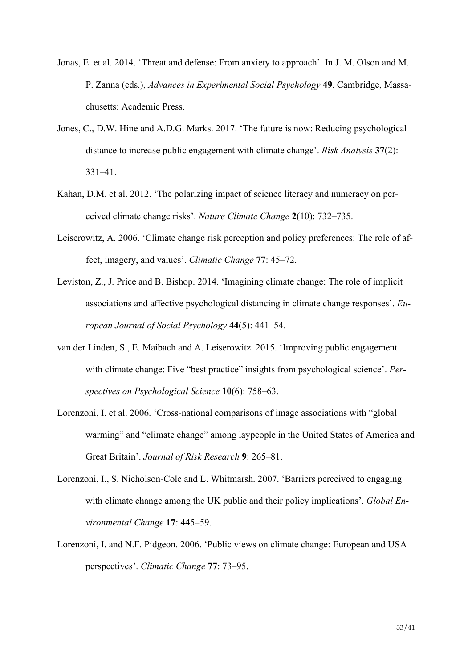- Jonas, E. et al. 2014. 'Threat and defense: From anxiety to approach'. In J. M. Olson and M. P. Zanna (eds.), *Advances in Experimental Social Psychology* **49**. Cambridge, Massachusetts: Academic Press.
- Jones, C., D.W. Hine and A.D.G. Marks. 2017. 'The future is now: Reducing psychological distance to increase public engagement with climate change'. *Risk Analysis* **37**(2): 331–41.
- Kahan, D.M. et al. 2012. 'The polarizing impact of science literacy and numeracy on perceived climate change risks'. *Nature Climate Change* **2**(10): 732–735.
- Leiserowitz, A. 2006. 'Climate change risk perception and policy preferences: The role of affect, imagery, and values'. *Climatic Change* **77**: 45–72.
- Leviston, Z., J. Price and B. Bishop. 2014. 'Imagining climate change: The role of implicit associations and affective psychological distancing in climate change responses'. *European Journal of Social Psychology* **44**(5): 441–54.
- van der Linden, S., E. Maibach and A. Leiserowitz. 2015. 'Improving public engagement with climate change: Five "best practice" insights from psychological science'. *Perspectives on Psychological Science* **10**(6): 758–63.
- Lorenzoni, I. et al. 2006. 'Cross-national comparisons of image associations with "global warming" and "climate change" among laypeople in the United States of America and Great Britain'. *Journal of Risk Research* **9**: 265–81.
- Lorenzoni, I., S. Nicholson-Cole and L. Whitmarsh. 2007. 'Barriers perceived to engaging with climate change among the UK public and their policy implications'. *Global Environmental Change* **17**: 445–59.
- Lorenzoni, I. and N.F. Pidgeon. 2006. 'Public views on climate change: European and USA perspectives'. *Climatic Change* **77**: 73–95.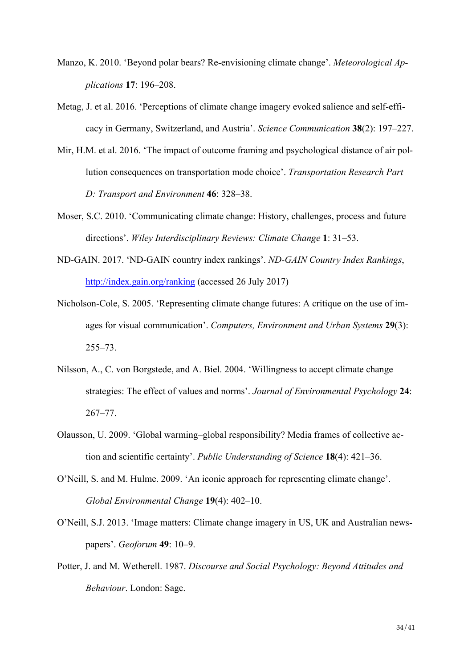- Manzo, K. 2010. 'Beyond polar bears? Re-envisioning climate change'. *Meteorological Applications* **17**: 196–208.
- Metag, J. et al. 2016. 'Perceptions of climate change imagery evoked salience and self-efficacy in Germany, Switzerland, and Austria'. *Science Communication* **38**(2): 197–227.
- Mir, H.M. et al. 2016. 'The impact of outcome framing and psychological distance of air pollution consequences on transportation mode choice'. *Transportation Research Part D: Transport and Environment* **46**: 328–38.
- Moser, S.C. 2010. 'Communicating climate change: History, challenges, process and future directions'. *Wiley Interdisciplinary Reviews: Climate Change* **1**: 31–53.
- ND-GAIN. 2017. 'ND-GAIN country index rankings'. *ND-GAIN Country Index Rankings*, http://index.gain.org/ranking (accessed 26 July 2017)
- Nicholson-Cole, S. 2005. 'Representing climate change futures: A critique on the use of images for visual communication'. *Computers, Environment and Urban Systems* **29**(3): 255–73.
- Nilsson, A., C. von Borgstede, and A. Biel. 2004. 'Willingness to accept climate change strategies: The effect of values and norms'. *Journal of Environmental Psychology* **24**: 267–77.
- Olausson, U. 2009. 'Global warming–global responsibility? Media frames of collective action and scientific certainty'. *Public Understanding of Science* **18**(4): 421–36.
- O'Neill, S. and M. Hulme. 2009. 'An iconic approach for representing climate change'. *Global Environmental Change* **19**(4): 402–10.
- O'Neill, S.J. 2013. 'Image matters: Climate change imagery in US, UK and Australian newspapers'. *Geoforum* **49**: 10–9.
- Potter, J. and M. Wetherell. 1987. *Discourse and Social Psychology: Beyond Attitudes and Behaviour*. London: Sage.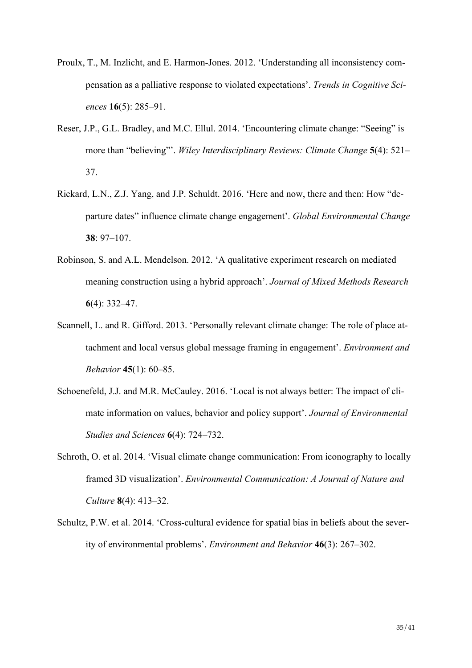- Proulx, T., M. Inzlicht, and E. Harmon-Jones. 2012. 'Understanding all inconsistency compensation as a palliative response to violated expectations'. *Trends in Cognitive Sciences* **16**(5): 285–91.
- Reser, J.P., G.L. Bradley, and M.C. Ellul. 2014. 'Encountering climate change: "Seeing" is more than "believing"'. *Wiley Interdisciplinary Reviews: Climate Change* **5**(4): 521– 37.
- Rickard, L.N., Z.J. Yang, and J.P. Schuldt. 2016. 'Here and now, there and then: How "departure dates" influence climate change engagement'. *Global Environmental Change* **38**: 97–107.
- Robinson, S. and A.L. Mendelson. 2012. 'A qualitative experiment research on mediated meaning construction using a hybrid approach'. *Journal of Mixed Methods Research* **6**(4): 332–47.
- Scannell, L. and R. Gifford. 2013. 'Personally relevant climate change: The role of place attachment and local versus global message framing in engagement'. *Environment and Behavior* **45**(1): 60–85.
- Schoenefeld, J.J. and M.R. McCauley. 2016. 'Local is not always better: The impact of climate information on values, behavior and policy support'. *Journal of Environmental Studies and Sciences* **6**(4): 724–732.
- Schroth, O. et al. 2014. 'Visual climate change communication: From iconography to locally framed 3D visualization'. *Environmental Communication: A Journal of Nature and Culture* **8**(4): 413–32.
- Schultz, P.W. et al. 2014. 'Cross-cultural evidence for spatial bias in beliefs about the severity of environmental problems'. *Environment and Behavior* **46**(3): 267–302.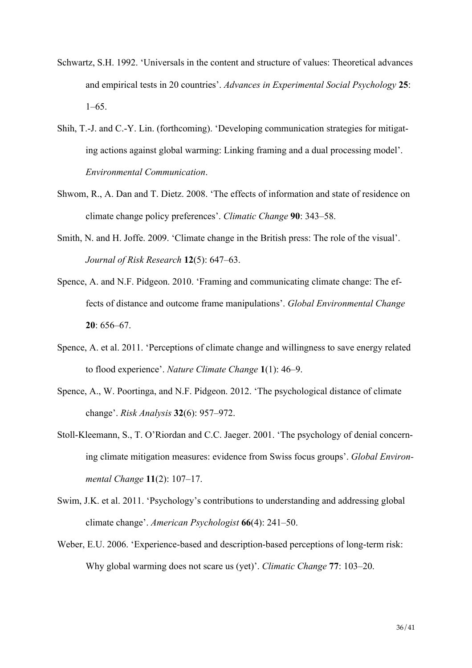- Schwartz, S.H. 1992. 'Universals in the content and structure of values: Theoretical advances and empirical tests in 20 countries'. *Advances in Experimental Social Psychology* **25**:  $1-65$ .
- Shih, T.-J. and C.-Y. Lin. (forthcoming). 'Developing communication strategies for mitigating actions against global warming: Linking framing and a dual processing model'. *Environmental Communication*.
- Shwom, R., A. Dan and T. Dietz. 2008. 'The effects of information and state of residence on climate change policy preferences'. *Climatic Change* **90**: 343–58.
- Smith, N. and H. Joffe. 2009. 'Climate change in the British press: The role of the visual'. *Journal of Risk Research* **12**(5): 647–63.
- Spence, A. and N.F. Pidgeon. 2010. 'Framing and communicating climate change: The effects of distance and outcome frame manipulations'. *Global Environmental Change* **20**: 656–67.
- Spence, A. et al. 2011. 'Perceptions of climate change and willingness to save energy related to flood experience'. *Nature Climate Change* **1**(1): 46–9.
- Spence, A., W. Poortinga, and N.F. Pidgeon. 2012. 'The psychological distance of climate change'. *Risk Analysis* **32**(6): 957–972.
- Stoll-Kleemann, S., T. O'Riordan and C.C. Jaeger. 2001. 'The psychology of denial concerning climate mitigation measures: evidence from Swiss focus groups'. *Global Environmental Change* **11**(2): 107–17.
- Swim, J.K. et al. 2011. 'Psychology's contributions to understanding and addressing global climate change'. *American Psychologist* **66**(4): 241–50.
- Weber, E.U. 2006. 'Experience-based and description-based perceptions of long-term risk: Why global warming does not scare us (yet)'. *Climatic Change* **77**: 103–20.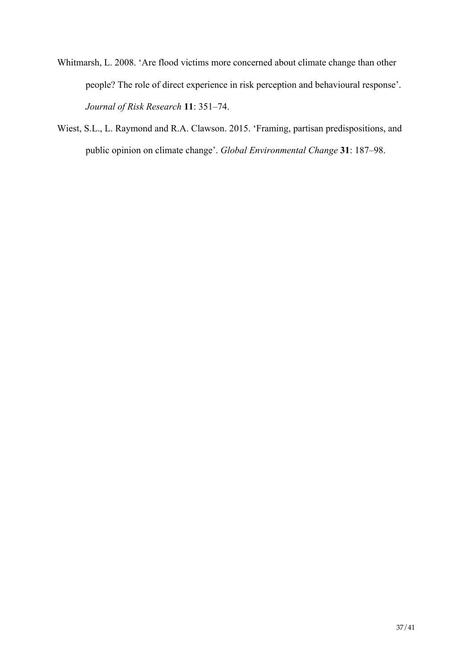- Whitmarsh, L. 2008. 'Are flood victims more concerned about climate change than other people? The role of direct experience in risk perception and behavioural response'. *Journal of Risk Research* **11**: 351–74.
- Wiest, S.L., L. Raymond and R.A. Clawson. 2015. 'Framing, partisan predispositions, and public opinion on climate change'. *Global Environmental Change* **31**: 187–98.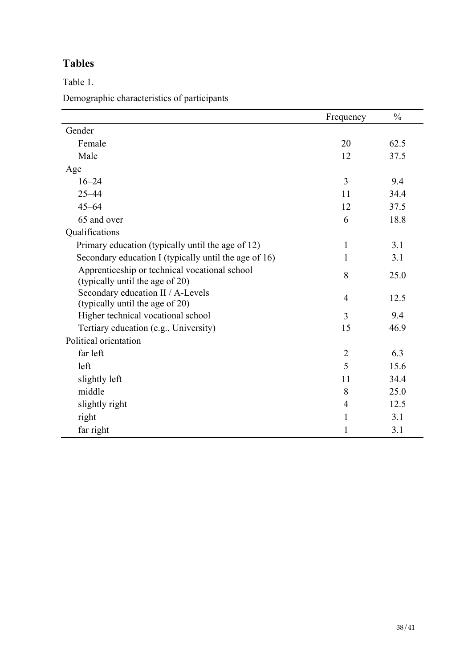# **Tables**

Table 1.

Demographic characteristics of participants

|                                                                                  | Frequency      | $\frac{0}{0}$ |
|----------------------------------------------------------------------------------|----------------|---------------|
| Gender                                                                           |                |               |
| Female                                                                           | 20             | 62.5          |
| Male                                                                             | 12             | 37.5          |
| Age                                                                              |                |               |
| $16 - 24$                                                                        | 3              | 9.4           |
| $25 - 44$                                                                        | 11             | 34.4          |
| $45 - 64$                                                                        | 12             | 37.5          |
| 65 and over                                                                      | 6              | 18.8          |
| Qualifications                                                                   |                |               |
| Primary education (typically until the age of 12)                                | $\mathbf{1}$   | 3.1           |
| Secondary education I (typically until the age of 16)                            | 1              | 3.1           |
| Apprenticeship or technical vocational school<br>(typically until the age of 20) | 8              | 25.0          |
| Secondary education II / A-Levels<br>(typically until the age of 20)             | $\overline{4}$ | 12.5          |
| Higher technical vocational school                                               | 3              | 9.4           |
| Tertiary education (e.g., University)                                            | 15             | 46.9          |
| Political orientation                                                            |                |               |
| far left                                                                         | $\overline{2}$ | 6.3           |
| left                                                                             | 5              | 15.6          |
| slightly left                                                                    | 11             | 34.4          |
| middle                                                                           | 8              | 25.0          |
| slightly right                                                                   | $\overline{4}$ | 12.5          |
| right                                                                            | 1              | 3.1           |
| far right                                                                        | 1              | 3.1           |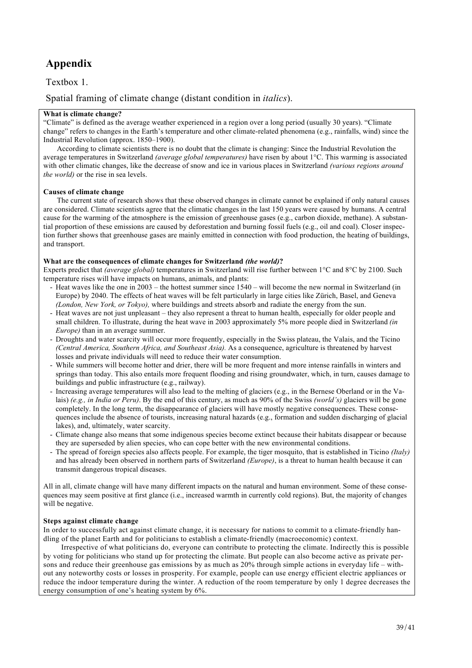# **Appendix**

### Textbox 1.

Spatial framing of climate change (distant condition in *italics*).

#### **What is climate change?**

"Climate" is defined as the average weather experienced in a region over a long period (usually 30 years). "Climate change" refers to changes in the Earth's temperature and other climate-related phenomena (e.g., rainfalls, wind) since the Industrial Revolution (approx. 1850–1900).

According to climate scientists there is no doubt that the climate is changing: Since the Industrial Revolution the average temperatures in Switzerland *(average global temperatures)* have risen by about 1°C. This warming is associated with other climatic changes, like the decrease of snow and ice in various places in Switzerland *(various regions around the world)* or the rise in sea levels.

#### **Causes of climate change**

The current state of research shows that these observed changes in climate cannot be explained if only natural causes are considered. Climate scientists agree that the climatic changes in the last 150 years were caused by humans. A central cause for the warming of the atmosphere is the emission of greenhouse gases (e.g., carbon dioxide, methane). A substantial proportion of these emissions are caused by deforestation and burning fossil fuels (e.g., oil and coal). Closer inspection further shows that greenhouse gases are mainly emitted in connection with food production, the heating of buildings, and transport.

#### **What are the consequences of climate changes for Switzerland** *(the world)***?**

Experts predict that *(average global)* temperatures in Switzerland will rise further between 1°C and 8°C by 2100. Such temperature rises will have impacts on humans, animals, and plants:

- Heat waves like the one in 2003 the hottest summer since 1540 will become the new normal in Switzerland (in Europe) by 2040. The effects of heat waves will be felt particularly in large cities like Zürich, Basel, and Geneva *(London, New York, or Tokyo),* where buildings and streets absorb and radiate the energy from the sun.
- Heat waves are not just unpleasant they also represent a threat to human health, especially for older people and small children. To illustrate, during the heat wave in 2003 approximately 5% more people died in Switzerland *(in Europe*) than in an average summer.
- Droughts and water scarcity will occur more frequently, especially in the Swiss plateau, the Valais, and the Ticino *(Central America, Southern Africa, and Southeast Asia).* As a consequence, agriculture is threatened by harvest losses and private individuals will need to reduce their water consumption.
- While summers will become hotter and drier, there will be more frequent and more intense rainfalls in winters and springs than today. This also entails more frequent flooding and rising groundwater, which, in turn, causes damage to buildings and public infrastructure (e.g., railway).
- Increasing average temperatures will also lead to the melting of glaciers (e.g., in the Bernese Oberland or in the Valais) *(e.g., in India or Peru)*. By the end of this century, as much as 90% of the Swiss *(world's)* glaciers will be gone completely. In the long term, the disappearance of glaciers will have mostly negative consequences. These consequences include the absence of tourists, increasing natural hazards (e.g., formation and sudden discharging of glacial lakes), and, ultimately, water scarcity.
- Climate change also means that some indigenous species become extinct because their habitats disappear or because they are superseded by alien species, who can cope better with the new environmental conditions.
- The spread of foreign species also affects people. For example, the tiger mosquito, that is established in Ticino *(Italy)*  and has already been observed in northern parts of Switzerland *(Europe)*, is a threat to human health because it can transmit dangerous tropical diseases.

All in all, climate change will have many different impacts on the natural and human environment. Some of these consequences may seem positive at first glance (i.e., increased warmth in currently cold regions). But, the majority of changes will be negative.

#### **Steps against climate change**

In order to successfully act against climate change, it is necessary for nations to commit to a climate-friendly handling of the planet Earth and for politicians to establish a climate-friendly (macroeconomic) context.

Irrespective of what politicians do, everyone can contribute to protecting the climate. Indirectly this is possible by voting for politicians who stand up for protecting the climate. But people can also become active as private persons and reduce their greenhouse gas emissions by as much as 20% through simple actions in everyday life – without any noteworthy costs or losses in prosperity. For example, people can use energy efficient electric appliances or reduce the indoor temperature during the winter. A reduction of the room temperature by only 1 degree decreases the energy consumption of one's heating system by 6%.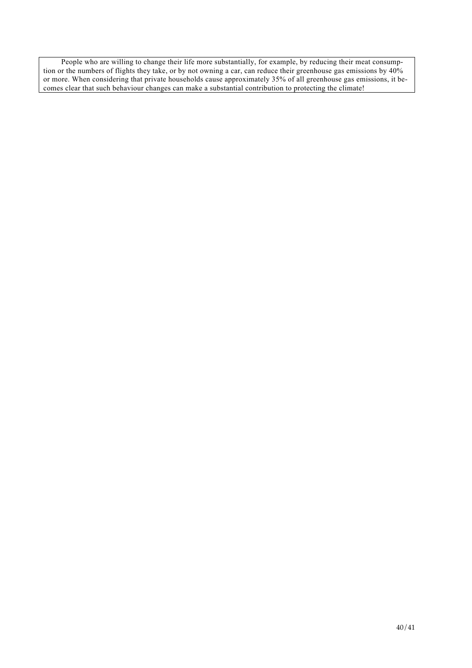People who are willing to change their life more substantially, for example, by reducing their meat consumption or the numbers of flights they take, or by not owning a car, can reduce their greenhouse gas emissions by 40% or more. When considering that private households cause approximately 35% of all greenhouse gas emissions, it becomes clear that such behaviour changes can make a substantial contribution to protecting the climate!